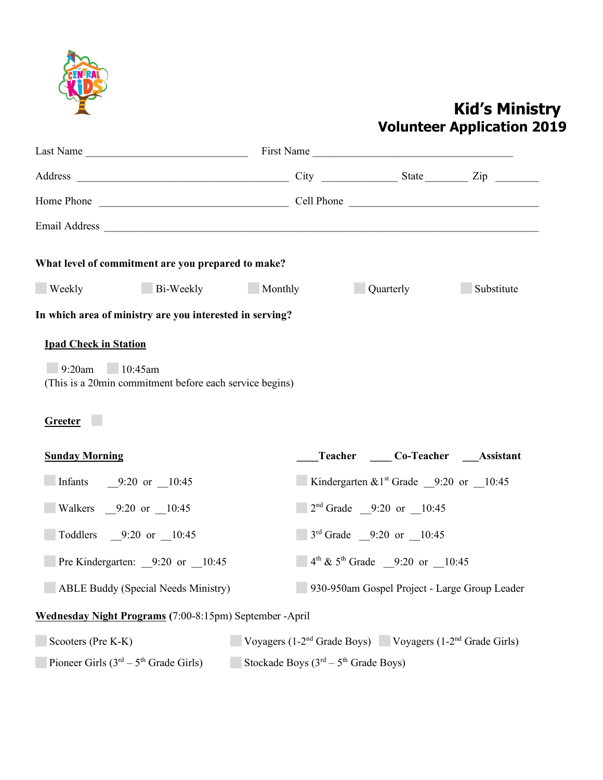

## **Kid's Ministry Volunteer Application 2019**

| What level of commitment are you prepared to make?                                                |                                                                                                        |  |                                                          |            |
|---------------------------------------------------------------------------------------------------|--------------------------------------------------------------------------------------------------------|--|----------------------------------------------------------|------------|
| Bi-Weekly Monthly<br><b>Weekly</b>                                                                |                                                                                                        |  | <b>Quarterly</b>                                         | Substitute |
| In which area of ministry are you interested in serving?                                          |                                                                                                        |  |                                                          |            |
| $9:20$ am $10:45$ am<br>(This is a 20min commitment before each service begins)<br><b>Greeter</b> |                                                                                                        |  |                                                          |            |
| <b>Sunday Morning</b>                                                                             |                                                                                                        |  | Teacher Co-Teacher Assistant                             |            |
| Infants $9:20 \text{ or } 10:45$                                                                  |                                                                                                        |  | <b>Kindergarten &amp; 1st</b> Grade 9:20 or 10:45        |            |
| Walkers 9:20 or 10:45                                                                             |                                                                                                        |  | $\Box$ 2 <sup>nd</sup> Grade $\Box$ 9:20 or $\Box$ 10:45 |            |
| Toddlers 9:20 or 10:45                                                                            |                                                                                                        |  | $3rd$ Grade $9:20$ or $10:45$                            |            |
| <b>Pre Kindergarten:</b> $9:20$ or $10:45$                                                        |                                                                                                        |  | $4th \& 5th$ Grade 9:20 or 10:45                         |            |
| <b>ABLE Buddy (Special Needs Ministry)</b>                                                        |                                                                                                        |  | 930-950am Gospel Project - Large Group Leader            |            |
| Wednesday Night Programs (7:00-8:15pm) September -April                                           |                                                                                                        |  |                                                          |            |
| Scooters (Pre K-K)<br>Pioneer Girls $(3rd – 5th Grade Girls)$                                     | Voyagers $(1-2nd$ Grade Boys) Voyagers $(1-2nd$ Grade Girls)<br>Stockade Boys $(3rd – 5th Grade Boys)$ |  |                                                          |            |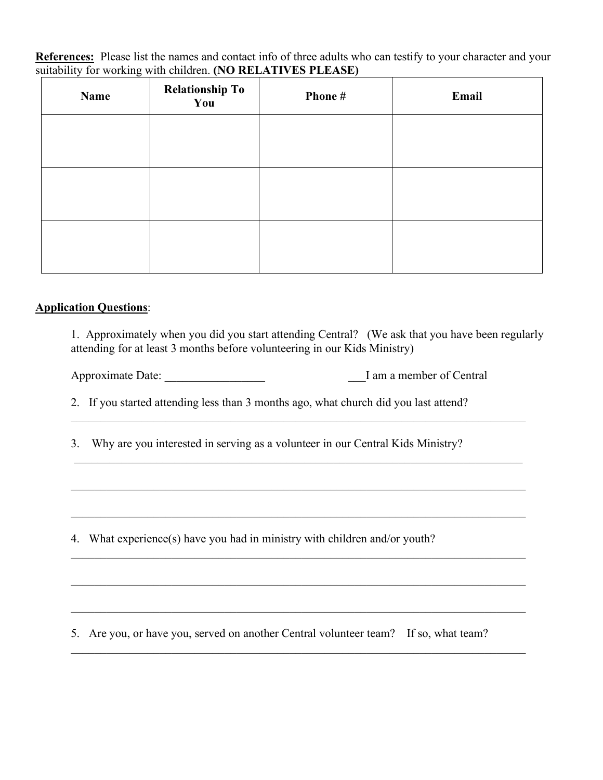**References:** Please list the names and contact info of three adults who can testify to your character and your suitability for working with children. **(NO RELATIVES PLEASE)**

| Name | <b>Relationship To</b><br>You | Phone# | Email |
|------|-------------------------------|--------|-------|
|      |                               |        |       |
|      |                               |        |       |
|      |                               |        |       |
|      |                               |        |       |
|      |                               |        |       |
|      |                               |        |       |

## **Application Questions**:

1. Approximately when you did you start attending Central? (We ask that you have been regularly attending for at least 3 months before volunteering in our Kids Ministry)

 $\mathcal{L}_\mathcal{L} = \{ \mathcal{L}_\mathcal{L} = \{ \mathcal{L}_\mathcal{L} = \{ \mathcal{L}_\mathcal{L} = \{ \mathcal{L}_\mathcal{L} = \{ \mathcal{L}_\mathcal{L} = \{ \mathcal{L}_\mathcal{L} = \{ \mathcal{L}_\mathcal{L} = \{ \mathcal{L}_\mathcal{L} = \{ \mathcal{L}_\mathcal{L} = \{ \mathcal{L}_\mathcal{L} = \{ \mathcal{L}_\mathcal{L} = \{ \mathcal{L}_\mathcal{L} = \{ \mathcal{L}_\mathcal{L} = \{ \mathcal{L}_\mathcal{$ 

 $\mathcal{L}_\mathcal{L} = \{ \mathcal{L}_\mathcal{L} = \{ \mathcal{L}_\mathcal{L} = \{ \mathcal{L}_\mathcal{L} = \{ \mathcal{L}_\mathcal{L} = \{ \mathcal{L}_\mathcal{L} = \{ \mathcal{L}_\mathcal{L} = \{ \mathcal{L}_\mathcal{L} = \{ \mathcal{L}_\mathcal{L} = \{ \mathcal{L}_\mathcal{L} = \{ \mathcal{L}_\mathcal{L} = \{ \mathcal{L}_\mathcal{L} = \{ \mathcal{L}_\mathcal{L} = \{ \mathcal{L}_\mathcal{L} = \{ \mathcal{L}_\mathcal{$ 

 $\mathcal{L}_\mathcal{L} = \{ \mathcal{L}_\mathcal{L} = \{ \mathcal{L}_\mathcal{L} = \{ \mathcal{L}_\mathcal{L} = \{ \mathcal{L}_\mathcal{L} = \{ \mathcal{L}_\mathcal{L} = \{ \mathcal{L}_\mathcal{L} = \{ \mathcal{L}_\mathcal{L} = \{ \mathcal{L}_\mathcal{L} = \{ \mathcal{L}_\mathcal{L} = \{ \mathcal{L}_\mathcal{L} = \{ \mathcal{L}_\mathcal{L} = \{ \mathcal{L}_\mathcal{L} = \{ \mathcal{L}_\mathcal{L} = \{ \mathcal{L}_\mathcal{$ 

 $\mathcal{L}_\mathcal{L} = \{ \mathcal{L}_\mathcal{L} = \{ \mathcal{L}_\mathcal{L} = \{ \mathcal{L}_\mathcal{L} = \{ \mathcal{L}_\mathcal{L} = \{ \mathcal{L}_\mathcal{L} = \{ \mathcal{L}_\mathcal{L} = \{ \mathcal{L}_\mathcal{L} = \{ \mathcal{L}_\mathcal{L} = \{ \mathcal{L}_\mathcal{L} = \{ \mathcal{L}_\mathcal{L} = \{ \mathcal{L}_\mathcal{L} = \{ \mathcal{L}_\mathcal{L} = \{ \mathcal{L}_\mathcal{L} = \{ \mathcal{L}_\mathcal{$ 

 $\mathcal{L}_\mathcal{L} = \{ \mathcal{L}_\mathcal{L} = \{ \mathcal{L}_\mathcal{L} = \{ \mathcal{L}_\mathcal{L} = \{ \mathcal{L}_\mathcal{L} = \{ \mathcal{L}_\mathcal{L} = \{ \mathcal{L}_\mathcal{L} = \{ \mathcal{L}_\mathcal{L} = \{ \mathcal{L}_\mathcal{L} = \{ \mathcal{L}_\mathcal{L} = \{ \mathcal{L}_\mathcal{L} = \{ \mathcal{L}_\mathcal{L} = \{ \mathcal{L}_\mathcal{L} = \{ \mathcal{L}_\mathcal{L} = \{ \mathcal{L}_\mathcal{$ 

\_\_\_\_\_\_\_\_\_\_\_\_\_\_\_\_\_\_\_\_\_\_\_\_\_\_\_\_\_\_\_\_\_\_\_\_\_\_\_\_\_\_\_\_\_\_\_\_\_\_\_\_\_\_\_\_\_\_\_\_\_\_\_\_\_\_\_\_\_\_\_\_\_\_\_\_\_

Approximate Date: \_\_\_\_\_\_\_\_\_\_\_\_\_\_\_\_\_ \_\_\_I am a member of Central

2. If you started attending less than 3 months ago, what church did you last attend?

3. Why are you interested in serving as a volunteer in our Central Kids Ministry?

 $\mathcal{L}_\mathcal{L} = \mathcal{L}_\mathcal{L} = \mathcal{L}_\mathcal{L} = \mathcal{L}_\mathcal{L} = \mathcal{L}_\mathcal{L} = \mathcal{L}_\mathcal{L} = \mathcal{L}_\mathcal{L} = \mathcal{L}_\mathcal{L} = \mathcal{L}_\mathcal{L} = \mathcal{L}_\mathcal{L} = \mathcal{L}_\mathcal{L} = \mathcal{L}_\mathcal{L} = \mathcal{L}_\mathcal{L} = \mathcal{L}_\mathcal{L} = \mathcal{L}_\mathcal{L} = \mathcal{L}_\mathcal{L} = \mathcal{L}_\mathcal{L}$ 

4. What experience(s) have you had in ministry with children and/or youth?

5. Are you, or have you, served on another Central volunteer team? If so, what team?  $\mathcal{L}_\text{max} = \frac{1}{2} \sum_{i=1}^{n} \frac{1}{2} \sum_{i=1}^{n} \frac{1}{2} \sum_{i=1}^{n} \frac{1}{2} \sum_{i=1}^{n} \frac{1}{2} \sum_{i=1}^{n} \frac{1}{2} \sum_{i=1}^{n} \frac{1}{2} \sum_{i=1}^{n} \frac{1}{2} \sum_{i=1}^{n} \frac{1}{2} \sum_{i=1}^{n} \frac{1}{2} \sum_{i=1}^{n} \frac{1}{2} \sum_{i=1}^{n} \frac{1}{2} \sum_{i=1}^{n} \frac{1$